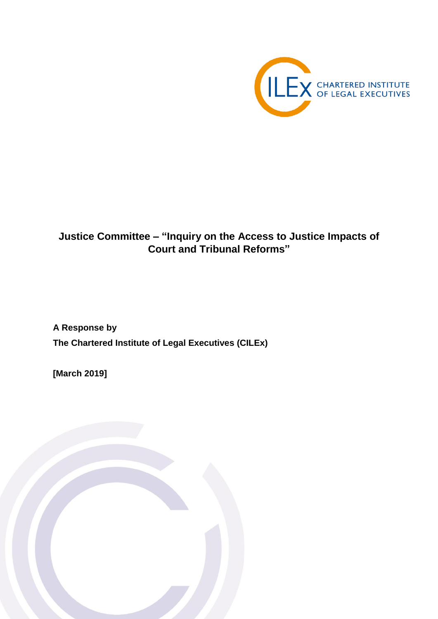

# **Justice Committee – "Inquiry on the Access to Justice Impacts of Court and Tribunal Reforms"**

**A Response by The Chartered Institute of Legal Executives (CILEx)**

**[March 2019]**

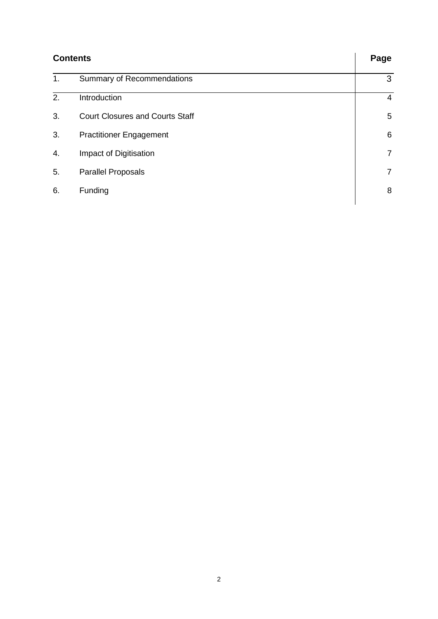| <b>Contents</b> |                                        | Page           |
|-----------------|----------------------------------------|----------------|
| 1.              | <b>Summary of Recommendations</b>      | 3              |
| 2.              | Introduction                           | $\overline{4}$ |
| 3.              | <b>Court Closures and Courts Staff</b> | 5              |
| 3.              | <b>Practitioner Engagement</b>         | 6              |
| 4.              | Impact of Digitisation                 | $\overline{7}$ |
| 5.              | <b>Parallel Proposals</b>              | $\overline{7}$ |
| 6.              | Funding                                | 8              |
|                 |                                        |                |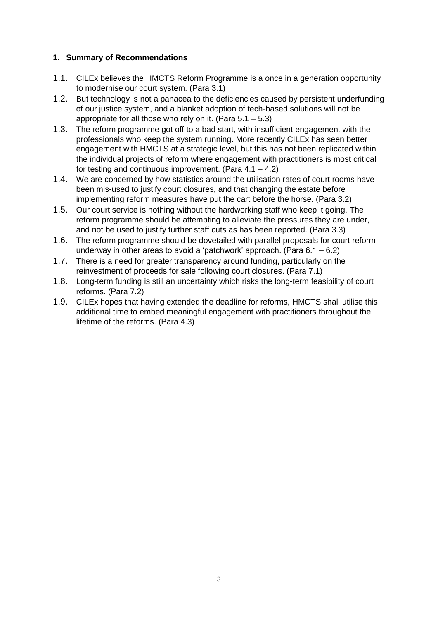## **1. Summary of Recommendations**

- 1.1. CILEx believes the HMCTS Reform Programme is a once in a generation opportunity to modernise our court system. (Para 3.1)
- 1.2. But technology is not a panacea to the deficiencies caused by persistent underfunding of our justice system, and a blanket adoption of tech-based solutions will not be appropriate for all those who rely on it. (Para  $5.1 - 5.3$ )
- 1.3. The reform programme got off to a bad start, with insufficient engagement with the professionals who keep the system running. More recently CILEx has seen better engagement with HMCTS at a strategic level, but this has not been replicated within the individual projects of reform where engagement with practitioners is most critical for testing and continuous improvement. (Para  $4.1 - 4.2$ )
- 1.4. We are concerned by how statistics around the utilisation rates of court rooms have been mis-used to justify court closures, and that changing the estate before implementing reform measures have put the cart before the horse. (Para 3.2)
- 1.5. Our court service is nothing without the hardworking staff who keep it going. The reform programme should be attempting to alleviate the pressures they are under, and not be used to justify further staff cuts as has been reported. (Para 3.3)
- 1.6. The reform programme should be dovetailed with parallel proposals for court reform underway in other areas to avoid a 'patchwork' approach. (Para  $6.1 - 6.2$ )
- 1.7. There is a need for greater transparency around funding, particularly on the reinvestment of proceeds for sale following court closures. (Para 7.1)
- 1.8. Long-term funding is still an uncertainty which risks the long-term feasibility of court reforms. (Para 7.2)
- 1.9. CILEx hopes that having extended the deadline for reforms, HMCTS shall utilise this additional time to embed meaningful engagement with practitioners throughout the lifetime of the reforms. (Para 4.3)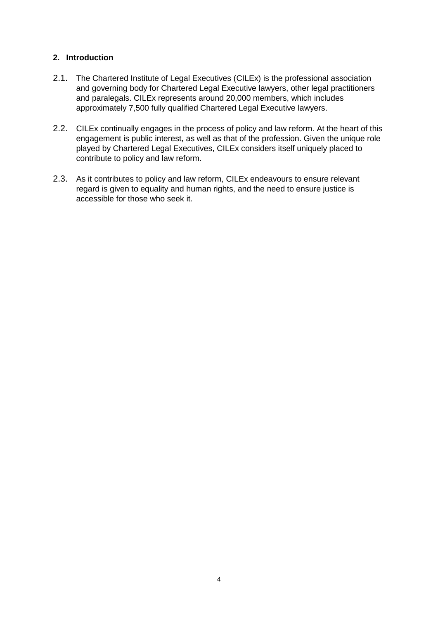#### **2. Introduction**

- 2.1. The Chartered Institute of Legal Executives (CILEx) is the professional association and governing body for Chartered Legal Executive lawyers, other legal practitioners and paralegals. CILEx represents around 20,000 members, which includes approximately 7,500 fully qualified Chartered Legal Executive lawyers.
- 2.2. CILEx continually engages in the process of policy and law reform. At the heart of this engagement is public interest, as well as that of the profession. Given the unique role played by Chartered Legal Executives, CILEx considers itself uniquely placed to contribute to policy and law reform.
- 2.3. As it contributes to policy and law reform, CILEx endeavours to ensure relevant regard is given to equality and human rights, and the need to ensure justice is accessible for those who seek it.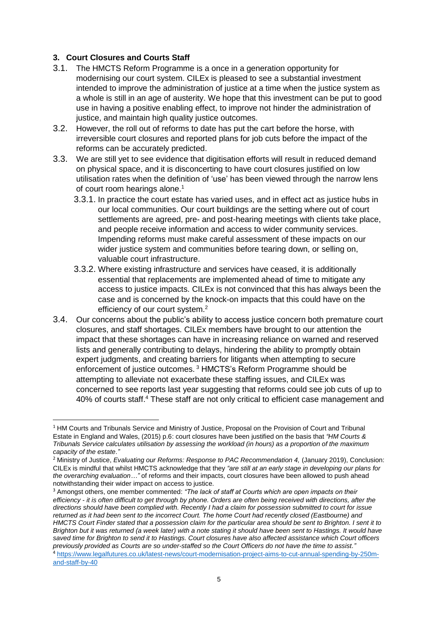#### **3. Court Closures and Courts Staff**

**.** 

- 3.1. The HMCTS Reform Programme is a once in a generation opportunity for modernising our court system. CILEx is pleased to see a substantial investment intended to improve the administration of justice at a time when the justice system as a whole is still in an age of austerity. We hope that this investment can be put to good use in having a positive enabling effect, to improve not hinder the administration of justice, and maintain high quality justice outcomes.
- 3.2. However, the roll out of reforms to date has put the cart before the horse, with irreversible court closures and reported plans for job cuts before the impact of the reforms can be accurately predicted.
- 3.3. We are still yet to see evidence that digitisation efforts will result in reduced demand on physical space, and it is disconcerting to have court closures justified on low utilisation rates when the definition of 'use' has been viewed through the narrow lens of court room hearings alone. 1
	- 3.3.1. In practice the court estate has varied uses, and in effect act as justice hubs in our local communities. Our court buildings are the setting where out of court settlements are agreed, pre- and post-hearing meetings with clients take place, and people receive information and access to wider community services. Impending reforms must make careful assessment of these impacts on our wider justice system and communities before tearing down, or selling on, valuable court infrastructure.
	- 3.3.2. Where existing infrastructure and services have ceased, it is additionally essential that replacements are implemented ahead of time to mitigate any access to justice impacts. CILEx is not convinced that this has always been the case and is concerned by the knock-on impacts that this could have on the efficiency of our court system.<sup>2</sup>
- 3.4. Our concerns about the public's ability to access justice concern both premature court closures, and staff shortages. CILEx members have brought to our attention the impact that these shortages can have in increasing reliance on warned and reserved lists and generally contributing to delays, hindering the ability to promptly obtain expert judgments, and creating barriers for litigants when attempting to secure enforcement of justice outcomes. <sup>3</sup> HMCTS's Reform Programme should be attempting to alleviate not exacerbate these staffing issues, and CILEx was concerned to see reports last year suggesting that reforms could see job cuts of up to 40% of courts staff.<sup>4</sup> These staff are not only critical to efficient case management and

<sup>&</sup>lt;sup>1</sup> HM Courts and Tribunals Service and Ministry of Justice, Proposal on the Provision of Court and Tribunal Estate in England and Wales, (2015) p.6: court closures have been justified on the basis that *"HM Courts & Tribunals Service calculates utilisation by assessing the workload (in hours) as a proportion of the maximum capacity of the estate."*

<sup>&</sup>lt;sup>2</sup> Ministry of Justice, *Evaluating our Reforms: Response to PAC Recommendation 4, (January 2019), Conclusion:* CILEx is mindful that whilst HMCTS acknowledge that they *"are still at an early stage in developing our plans for the overarching evaluation…"* of reforms and their impacts, court closures have been allowed to push ahead notwithstanding their wider impact on access to justice.

<sup>3</sup> Amongst others, one member commented: *"The lack of staff at Courts which are open impacts on their efficiency - it is often difficult to get through by phone. Orders are often being received with directions, after the directions should have been complied with. Recently I had a claim for possession submitted to court for issue returned as it had been sent to the incorrect Court. The home Court had recently closed (Eastbourne) and HMCTS Court Finder stated that a possession claim for the particular area should be sent to Brighton. I sent it to Brighton but it was returned (a week later) with a note stating it should have been sent to Hastings. It would have saved time for Brighton to send it to Hastings. Court closures have also affected assistance which Court officers previously provided as Courts are so under-staffed so the Court Officers do not have the time to assist."*

<sup>4</sup> [https://www.legalfutures.co.uk/latest-news/court-modernisation-project-aims-to-cut-annual-spending-by-250m](https://www.legalfutures.co.uk/latest-news/court-modernisation-project-aims-to-cut-annual-spending-by-250m-and-staff-by-40)[and-staff-by-40](https://www.legalfutures.co.uk/latest-news/court-modernisation-project-aims-to-cut-annual-spending-by-250m-and-staff-by-40)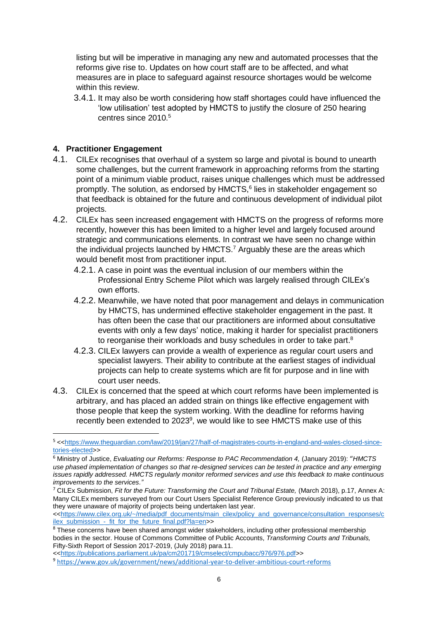listing but will be imperative in managing any new and automated processes that the reforms give rise to. Updates on how court staff are to be affected, and what measures are in place to safeguard against resource shortages would be welcome within this review.

3.4.1. It may also be worth considering how staff shortages could have influenced the 'low utilisation' test adopted by HMCTS to justify the closure of 250 hearing centres since 2010.<sup>5</sup>

### **4. Practitioner Engagement**

1

- 4.1. CILEx recognises that overhaul of a system so large and pivotal is bound to unearth some challenges, but the current framework in approaching reforms from the starting point of a minimum viable product, raises unique challenges which must be addressed promptly. The solution, as endorsed by HMCTS,<sup>6</sup> lies in stakeholder engagement so that feedback is obtained for the future and continuous development of individual pilot projects.
- 4.2. CILEx has seen increased engagement with HMCTS on the progress of reforms more recently, however this has been limited to a higher level and largely focused around strategic and communications elements. In contrast we have seen no change within the individual projects launched by HMCTS.<sup>7</sup> Arguably these are the areas which would benefit most from practitioner input.
	- 4.2.1. A case in point was the eventual inclusion of our members within the Professional Entry Scheme Pilot which was largely realised through CILEx's own efforts.
	- 4.2.2. Meanwhile, we have noted that poor management and delays in communication by HMCTS, has undermined effective stakeholder engagement in the past. It has often been the case that our practitioners are informed about consultative events with only a few days' notice, making it harder for specialist practitioners to reorganise their workloads and busy schedules in order to take part.<sup>8</sup>
	- 4.2.3. CILEx lawyers can provide a wealth of experience as regular court users and specialist lawyers. Their ability to contribute at the earliest stages of individual projects can help to create systems which are fit for purpose and in line with court user needs.
- 4.3. CILEx is concerned that the speed at which court reforms have been implemented is arbitrary, and has placed an added strain on things like effective engagement with those people that keep the system working. With the deadline for reforms having recently been extended to 2023<sup>9</sup>, we would like to see HMCTS make use of this

<sup>5</sup> <[<https://www.theguardian.com/law/2019/jan/27/half-of-magistrates-courts-in-england-and-wales-closed-since](https://www.theguardian.com/law/2019/jan/27/half-of-magistrates-courts-in-england-and-wales-closed-since-tories-elected)[tories-elected>](https://www.theguardian.com/law/2019/jan/27/half-of-magistrates-courts-in-england-and-wales-closed-since-tories-elected)>

<sup>6</sup> Ministry of Justice, *Evaluating our Reforms: Response to PAC Recommendation 4,* (January 2019): "*HMCTS use phased implementation of changes so that re-designed services can be tested in practice and any emerging issues rapidly addressed. HMCTS regularly monitor reformed services and use this feedback to make continuous improvements to the services."*

<sup>7</sup> CILEx Submission, *Fit for the Future: Transforming the Court and Tribunal Estate,* (March 2018), p.17, Annex A: Many CILEx members surveyed from our Court Users Specialist Reference Group previously indicated to us that they were unaware of majority of projects being undertaken last year.

<sup>&</sup>lt;[<https://www.cilex.org.uk/~/media/pdf\\_documents/main\\_cilex/policy\\_and\\_governance/consultation\\_responses/c](https://www.cilex.org.uk/~/media/pdf_documents/main_cilex/policy_and_governance/consultation_responses/cilex_submission_-_fit_for_the_future_final.pdf?la=en) [ilex\\_submission\\_-\\_fit\\_for\\_the\\_future\\_final.pdf?la=en>](https://www.cilex.org.uk/~/media/pdf_documents/main_cilex/policy_and_governance/consultation_responses/cilex_submission_-_fit_for_the_future_final.pdf?la=en)>

<sup>&</sup>lt;sup>8</sup> These concerns have been shared amongst wider stakeholders, including other professional membership bodies in the sector. House of Commons Committee of Public Accounts, *Transforming Courts and Tribunals,*  Fifty-Sixth Report of Session 2017-2019, (July 2018) para.11.

<sup>&</sup>lt;[<https://publications.parliament.uk/pa/cm201719/cmselect/cmpubacc/976/976.pdf>](https://publications.parliament.uk/pa/cm201719/cmselect/cmpubacc/976/976.pdf)>

<sup>9</sup> <https://www.gov.uk/government/news/additional-year-to-deliver-ambitious-court-reforms>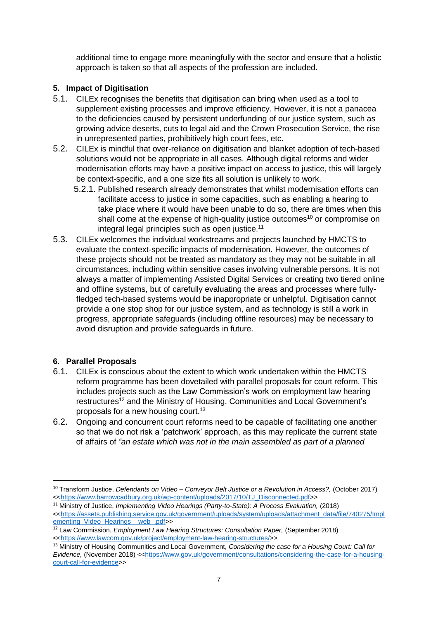additional time to engage more meaningfully with the sector and ensure that a holistic approach is taken so that all aspects of the profession are included.

## **5. Impact of Digitisation**

- 5.1. CILEx recognises the benefits that digitisation can bring when used as a tool to supplement existing processes and improve efficiency. However, it is not a panacea to the deficiencies caused by persistent underfunding of our justice system, such as growing advice deserts, cuts to legal aid and the Crown Prosecution Service, the rise in unrepresented parties, prohibitively high court fees, etc.
- 5.2. CILEx is mindful that over-reliance on digitisation and blanket adoption of tech-based solutions would not be appropriate in all cases. Although digital reforms and wider modernisation efforts may have a positive impact on access to justice, this will largely be context-specific, and a one size fits all solution is unlikely to work.
	- 5.2.1. Published research already demonstrates that whilst modernisation efforts can facilitate access to justice in some capacities, such as enabling a hearing to take place where it would have been unable to do so, there are times when this shall come at the expense of high-quality justice outcomes<sup>10</sup> or compromise on integral legal principles such as open justice.<sup>11</sup>
- 5.3. CILEx welcomes the individual workstreams and projects launched by HMCTS to evaluate the context-specific impacts of modernisation. However, the outcomes of these projects should not be treated as mandatory as they may not be suitable in all circumstances, including within sensitive cases involving vulnerable persons. It is not always a matter of implementing Assisted Digital Services or creating two tiered online and offline systems, but of carefully evaluating the areas and processes where fullyfledged tech-based systems would be inappropriate or unhelpful. Digitisation cannot provide a one stop shop for our justice system, and as technology is still a work in progress, appropriate safeguards (including offline resources) may be necessary to avoid disruption and provide safeguards in future.

## **6. Parallel Proposals**

 $\overline{a}$ 

- 6.1. CILEx is conscious about the extent to which work undertaken within the HMCTS reform programme has been dovetailed with parallel proposals for court reform. This includes projects such as the Law Commission's work on employment law hearing restructures<sup>12</sup> and the Ministry of Housing, Communities and Local Government's proposals for a new housing court.<sup>13</sup>
- 6.2. Ongoing and concurrent court reforms need to be capable of facilitating one another so that we do not risk a 'patchwork' approach, as this may replicate the current state of affairs of *"an estate which was not in the main assembled as part of a planned*

<sup>10</sup> Transform Justice, *Defendants on Video – Conveyor Belt Justice or a Revolution in Access?,* (October 2017) <[<https://www.barrowcadbury.org.uk/wp-content/uploads/2017/10/TJ\\_Disconnected.pdf>](https://www.barrowcadbury.org.uk/wp-content/uploads/2017/10/TJ_Disconnected.pdf)>

<sup>&</sup>lt;sup>11</sup> Ministry of Justice, *Implementing Video Hearings (Party-to-State): A Process Evaluation, (2018)* <[<https://assets.publishing.service.gov.uk/government/uploads/system/uploads/attachment\\_data/file/740275/Impl](https://assets.publishing.service.gov.uk/government/uploads/system/uploads/attachment_data/file/740275/Implementing_Video_Hearings__web_.pdf) [ementing\\_Video\\_Hearings\\_\\_web\\_.pdf>](https://assets.publishing.service.gov.uk/government/uploads/system/uploads/attachment_data/file/740275/Implementing_Video_Hearings__web_.pdf)>

<sup>&</sup>lt;sup>12</sup> Law Commission, *Employment Law Hearing Structures: Consultation Paper,* (September 2018) <[<https://www.lawcom.gov.uk/project/employment-law-hearing-structures/>](https://www.lawcom.gov.uk/project/employment-law-hearing-structures/)>

<sup>13</sup> Ministry of Housing Communities and Local Government, *Considering the case for a Housing Court: Call for Evidence,* (November 2018) <[<https://www.gov.uk/government/consultations/considering-the-case-for-a-housing](https://www.gov.uk/government/consultations/considering-the-case-for-a-housing-court-call-for-evidence)[court-call-for-evidence>](https://www.gov.uk/government/consultations/considering-the-case-for-a-housing-court-call-for-evidence)>